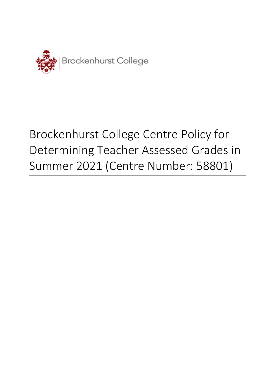

# Brockenhurst College Centre Policy for Determining Teacher Assessed Grades in Summer 2021 (Centre Number: 58801)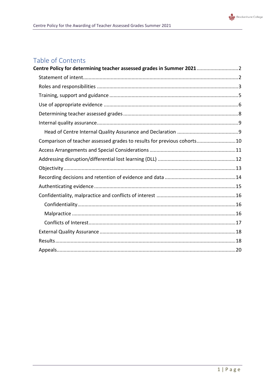

## Table of Contents

| Centre Policy for determining teacher assessed grades in Summer 20212   |  |
|-------------------------------------------------------------------------|--|
|                                                                         |  |
|                                                                         |  |
|                                                                         |  |
|                                                                         |  |
|                                                                         |  |
|                                                                         |  |
|                                                                         |  |
| Comparison of teacher assessed grades to results for previous cohorts10 |  |
|                                                                         |  |
|                                                                         |  |
|                                                                         |  |
|                                                                         |  |
|                                                                         |  |
|                                                                         |  |
|                                                                         |  |
|                                                                         |  |
|                                                                         |  |
|                                                                         |  |
|                                                                         |  |
|                                                                         |  |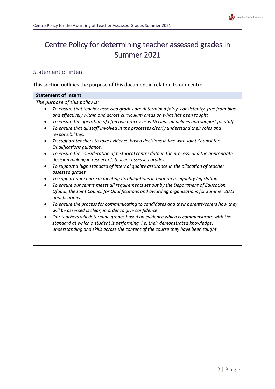

# <span id="page-2-0"></span>Centre Policy for determining teacher assessed grades in Summer 2021

## <span id="page-2-1"></span>Statement of intent

This section outlines the purpose of this document in relation to our centre.

| <b>Statement of Intent</b>                                                                                                                                                                                                          |
|-------------------------------------------------------------------------------------------------------------------------------------------------------------------------------------------------------------------------------------|
| The purpose of this policy is:                                                                                                                                                                                                      |
| To ensure that teacher assessed grades are determined fairly, consistently, free from bias<br>$\bullet$<br>and effectively within and across curriculum areas on what has been taught                                               |
| To ensure the operation of effective processes with clear guidelines and support for staff.<br>$\bullet$<br>To ensure that all staff involved in the processes clearly understand their roles and<br>$\bullet$<br>responsibilities. |
| To support teachers to take evidence-based decisions in line with Joint Council for<br>٠<br>Qualifications guidance.                                                                                                                |
| To ensure the consideration of historical centre data in the process, and the appropriate<br>decision making in respect of, teacher assessed grades.                                                                                |
| To support a high standard of internal quality assurance in the allocation of teacher<br>assessed grades.                                                                                                                           |
| To support our centre in meeting its obligations in relation to equality legislation.                                                                                                                                               |
| To ensure our centre meets all requirements set out by the Department of Education,<br>$\bullet$<br>Ofqual, the Joint Council for Qualifications and awarding organisations for Summer 2021<br>qualifications.                      |
| To ensure the process for communicating to candidates and their parents/carers how they<br>$\bullet$<br>will be assessed is clear, in order to give confidence.                                                                     |
| Our teachers will determine grades based on evidence which is commensurate with the<br>$\bullet$<br>standard at which a student is performing, i.e. their demonstrated knowledge,                                                   |
| understanding and skills across the content of the course they have been taught.                                                                                                                                                    |
|                                                                                                                                                                                                                                     |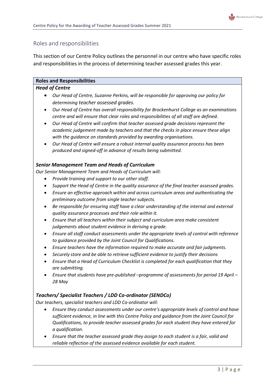

## <span id="page-3-0"></span>Roles and responsibilities

This section of our Centre Policy outlines the personnel in our centre who have specific roles and responsibilities in the process of determining teacher assessed grades this year.

## **Roles and Responsibilities**

#### *Head of Centre*

- *Our Head of Centre, Suzanne Perkins, will be responsible for approving our policy for determining teacher assessed grades.*
- *Our Head of Centre has overall responsibility for Brockenhurst College as an examinations centre and will ensure that clear roles and responsibilities of all staff are defined.*
- *Our Head of Centre will confirm that teacher assessed grade decisions represent the academic judgement made by teachers and that the checks in place ensure these align with the guidance on standards provided by awarding organisations.*
- *Our Head of Centre will ensure a robust internal quality assurance process has been produced and signed-off in advance of results being submitted.*

## *Senior Management Team and Heads of Curriculum*

*Our Senior Management Team and Heads of Curriculum will:*

- *Provide training and support to our other staff.*
- *Support the Head of Centre in the quality assurance of the final teacher assessed grades.*
- *Ensure an effective approach within and across curriculum areas and authenticating the preliminary outcome from single teacher subjects.*
- *Be responsible for ensuring staff have a clear understanding of the internal and external quality assurance processes and their role within it.*
- *Ensure that all teachers within their subject and curriculum area make consistent judgements about student evidence in deriving a grade.*
- *Ensure all staff conduct assessments under the appropriate levels of control with reference to guidance provided by the Joint Council for Qualifications.*
- *Ensure teachers have the information required to make accurate and fair judgments.*
- *Securely store and be able to retrieve sufficient evidence to justify their decisions*
- *Ensure that a Head of Curriculum Checklist is completed for each qualification that they are submitting.*
- *Ensure that students have pre-published –programme of assessments for period 19 April – 28 May*

## *Teachers/ Specialist Teachers / LDD Co-ordinator (SENDCo)*

*Our teachers, specialist teachers and LDD Co-ordinator will:*

- *Ensure they conduct assessments under our centre's appropriate levels of control and have sufficient evidence, in line with this Centre Policy and guidance from the Joint Council for Qualifications, to provide teacher assessed grades for each student they have entered for a qualification.*
- *Ensure that the teacher assessed grade they assign to each student is a fair, valid and reliable reflection of the assessed evidence available for each student.*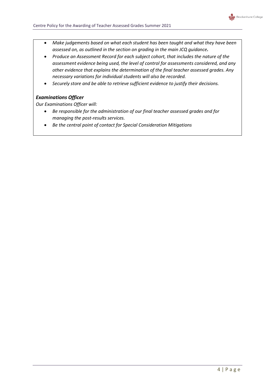

- *Make judgements based on what each student has been taught and what they have been assessed on, as outlined in the section on grading in the main JCQ guidance.*
- *Produce an Assessment Record for each subject cohort, that includes the nature of the assessment evidence being used, the level of control for assessments considered, and any other evidence that explains the determination of the final teacher assessed grades. Any necessary variations for individual students will also be recorded.*
- *Securely store and be able to retrieve sufficient evidence to justify their decisions.*

## *Examinations Officer*

*Our Examinations Officer will:*

- *Be responsible for the administration of our final teacher assessed grades and for managing the post-results services.*
- *Be the central point of contact for Special Consideration Mitigations*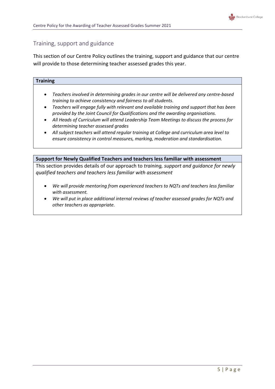## <span id="page-5-0"></span>Training, support and guidance

This section of our Centre Policy outlines the training, support and guidance that our centre will provide to those determining teacher assessed grades this year.

| <b>Training</b> |  |  |  |
|-----------------|--|--|--|
|                 |  |  |  |
|                 |  |  |  |
|                 |  |  |  |
|                 |  |  |  |

- *Teachers involved in determining grades in our centre will be delivered any centre-based training to achieve consistency and fairness to all students.*
- *Teachers will engage fully with relevant and available training and support that has been provided by the Joint Council for Qualifications and the awarding organisations.*
- *All Heads of Curriculum will attend Leadership Team Meetings to discuss the process for determining teacher assessed grades*
- *All subject teachers will attend regular training at College and curriculum area level to ensure consistency in control measures, marking, moderation and standardisation.*

#### **Support for Newly Qualified Teachers and teachers less familiar with assessment**

This section provides details of our approach to *training, support and guidance for newly qualified teachers and teachers less familiar with assessment*

- *We will provide mentoring from experienced teachers to NQTs and teachers less familiar with assessment.*
- *We will put in place additional internal reviews of teacher assessed grades for NQTs and other teachers as appropriate.*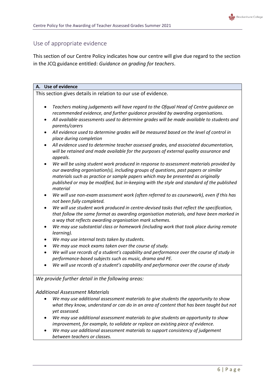## <span id="page-6-0"></span>Use of appropriate evidence

This section of our Centre Policy indicates how our centre will give due regard to the section in the JCQ guidance entitled: *Guidance on grading for teachers*.

#### **A. Use of evidence**

This section gives details in relation to our use of evidence.

- *Teachers making judgements will have regard to the Ofqual Head of Centre guidance on recommended evidence, and further guidance provided by awarding organisations.*
- *All available assessments used to determine grades will be made available to students and parents/carers*
- *All evidence used to determine grades will be measured based on the level of control in place during completion*
- *All evidence used to determine teacher assessed grades, and associated documentation, will be retained and made available for the purposes of external quality assurance and appeals.*
- *We will be using student work produced in response to assessment materials provided by our awarding organisation(s), including groups of questions, past papers or similar materials such as practice or sample papers which may be presented as originally published or may be modified, but in-keeping with the style and standard of the published material*
- *We will use non-exam assessment work (often referred to as coursework), even if this has not been fully completed.*
- *We will use student work produced in centre-devised tasks that reflect the specification, that follow the same format as awarding organisation materials, and have been marked in a way that reflects awarding organisation mark schemes.*
- *We may use substantial class or homework (including work that took place during remote learning).*
- *We may use internal tests taken by students.*
- *We may use mock exams taken over the course of study.*
- *We will use records of a student's capability and performance over the course of study in performance-based subjects such as music, drama and PE.*
- *We will use records of a student's capability and performance over the course of study*

#### *We provide further detail in the following areas:*

#### *Additional Assessment Materials*

- *We may use additional assessment materials to give students the opportunity to show what they know, understand or can do in an area of content that has been taught but not yet assessed.*
- *We may use additional assessment materials to give students an opportunity to show improvement, for example, to validate or replace an existing piece of evidence.*
- *We may use additional assessment materials to support consistency of judgement between teachers or classes.*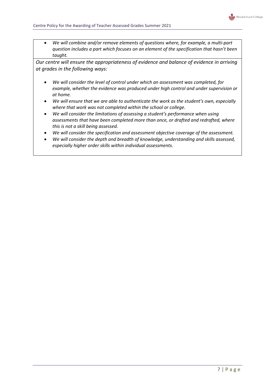

 *We will combine and/or remove elements of questions where, for example, a multi-part question includes a part which focuses on an element of the specification that hasn't been taught.*

*Our centre will ensure the appropriateness of evidence and balance of evidence in arriving at grades in the following ways:*

- *We will consider the level of control under which an assessment was completed, for example, whether the evidence was produced under high control and under supervision or at home.*
- *We will ensure that we are able to authenticate the work as the student's own, especially where that work was not completed within the school or college.*
- *We will consider the limitations of assessing a student's performance when using assessments that have been completed more than once, or drafted and redrafted, where this is not a skill being assessed.*
- *We will consider the specification and assessment objective coverage of the assessment.*
- *We will consider the depth and breadth of knowledge, understanding and skills assessed, especially higher order skills within individual assessments.*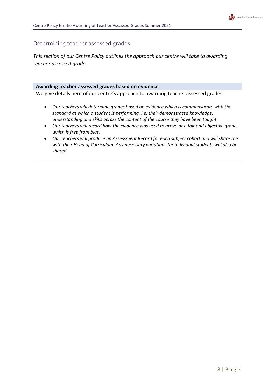## <span id="page-8-0"></span>Determining teacher assessed grades

*This section of our Centre Policy outlines the approach our centre will take to awarding teacher assessed grades.*

#### **Awarding teacher assessed grades based on evidence**

We give details here of our centre's approach to awarding teacher assessed grades*.*

- *Our teachers will determine grades based on evidence which is commensurate with the standard at which a student is performing, i.e. their demonstrated knowledge, understanding and skills across the content of the course they have been taught.*
- *Our teachers will record how the evidence was used to arrive at a fair and objective grade, which is free from bias.*
- *Our teachers will produce an Assessment Record for each subject cohort and will share this with their Head of Curriculum. Any necessary variations for individual students will also be shared.*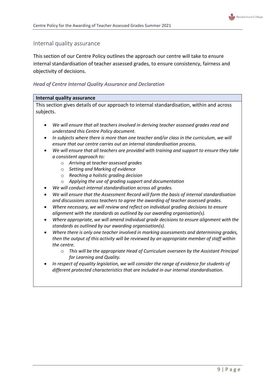

## <span id="page-9-0"></span>Internal quality assurance

This section of our Centre Policy outlines the approach our centre will take to ensure internal standardisation of teacher assessed grades, to ensure consistency, fairness and objectivity of decisions.

## <span id="page-9-1"></span>*Head of Centre Internal Quality Assurance and Declaration*

#### **Internal quality assurance**

This section gives details of our approach to internal standardisation, within and across subjects.

- *We will ensure that all teachers involved in deriving teacher assessed grades read and understand this Centre Policy document.*
- *In subjects where there is more than one teacher and/or class in the curriculum, we will ensure that our centre carries out an internal standardisation process.*
- *We will ensure that all teachers are provided with training and support to ensure they take a consistent approach to:*
	- o *Arriving at teacher assessed grades*
	- o *Setting and Marking of evidence*
	- o *Reaching a holistic grading decision*
	- o *Applying the use of grading support and documentation*
- *We will conduct internal standardisation across all grades.*
- *We will ensure that the Assessment Record will form the basis of internal standardisation and discussions across teachers to agree the awarding of teacher assessed grades.*
- *Where necessary, we will review and reflect on individual grading decisions to ensure alignment with the standards as outlined by our awarding organisation(s).*
- *Where appropriate, we will amend individual grade decisions to ensure alignment with the standards as outlined by our awarding organisation(s).*
- *Where there is only one teacher involved in marking assessments and determining grades, then the output of this activity will be reviewed by an appropriate member of staff within the centre.*
	- o *This will be the appropriate Head of Curriculum overseen by the Assistant Principal for Learning and Quality.*
- *In respect of equality legislation, we will consider the range of evidence for students of different protected characteristics that are included in our internal standardisation.*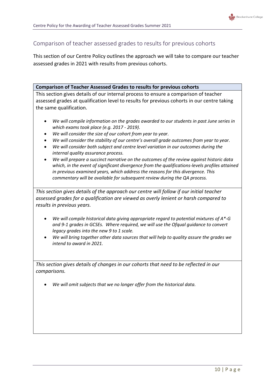

## <span id="page-10-0"></span>Comparison of teacher assessed grades to results for previous cohorts

This section of our Centre Policy outlines the approach we will take to compare our teacher assessed grades in 2021 with results from previous cohorts.

**Comparison of Teacher Assessed Grades to results for previous cohorts**

This section gives details of our internal process to ensure a comparison of teacher assessed grades at qualification level to results for previous cohorts in our centre taking the same qualification.

- *We will compile information on the grades awarded to our students in past June series in which exams took place (e.g. 2017 - 2019).*
- *We will consider the size of our cohort from year to year.*
- *We will consider the stability of our centre's overall grade outcomes from year to year.*
- *We will consider both subject and centre level variation in our outcomes during the internal quality assurance process.*
- *We will prepare a succinct narrative on the outcomes of the review against historic data which, in the event of significant divergence from the qualifications-levels profiles attained in previous examined years, which address the reasons for this divergence. This commentary will be available for subsequent review during the QA process.*

*This section gives details of the approach our centre will follow if our initial teacher assessed grades for a qualification are viewed as overly lenient or harsh compared to results in previous years.*

- *We will compile historical data giving appropriate regard to potential mixtures of A\*-G and 9-1 grades in GCSEs. Where required, we will use the Ofqual guidance to convert legacy grades into the new 9 to 1 scale.*
- *We will bring together other data sources that will help to quality assure the grades we intend to award in 2021.*

*This section gives details of changes in our cohorts that need to be reflected in our comparisons.* 

*We will omit subjects that we no longer offer from the historical data.*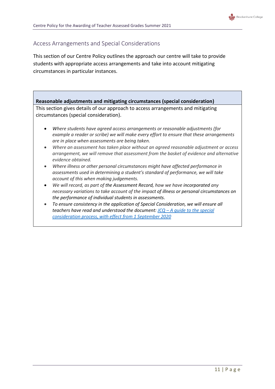

## <span id="page-11-0"></span>Access Arrangements and Special Considerations

This section of our Centre Policy outlines the approach our centre will take to provide students with appropriate access arrangements and take into account mitigating circumstances in particular instances.

## **Reasonable adjustments and mitigating circumstances (special consideration)** This section gives details of our approach to access arrangements and mitigating circumstances (special consideration). *Where students have agreed access arrangements or reasonable adjustments (for example a reader or scribe) we will make every effort to ensure that these arrangements are in place when assessments are being taken. Where an assessment has taken place without an agreed reasonable adjustment or access arrangement, we will remove that assessment from the basket of evidence and alternative*

- *evidence obtained. Where illness or other personal circumstances might have affected performance in assessments used in determining a student's standard of performance, we will take account of this when making judgements.*
- *We will record, as part of the Assessment Record, how we have incorporated any necessary variations to take account of the impact of illness or personal circumstances on the performance of individual students in assessments.*
- *To ensure consistency in the application of Special Consideration, we will ensure all teachers have read and understood the document: JCQ – [A guide to the special](https://www.jcq.org.uk/wp-content/uploads/2020/08/A-guide-to-the-spec-con-process-202021-Website-version.pdf)  [consideration process, with effect from 1 September 2020](https://www.jcq.org.uk/wp-content/uploads/2020/08/A-guide-to-the-spec-con-process-202021-Website-version.pdf)*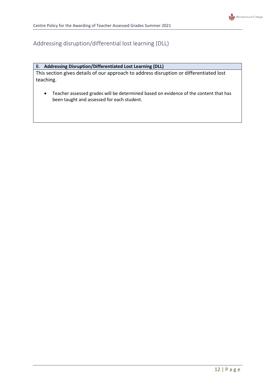## <span id="page-12-0"></span>Addressing disruption/differential lost learning (DLL)

#### B. **Addressing Disruption/Differentiated Lost Learning (DLL)**

This section gives details of our approach to address disruption or differentiated lost teaching.

 Teacher assessed grades will be determined based on evidence of the content that has been taught and assessed for each student.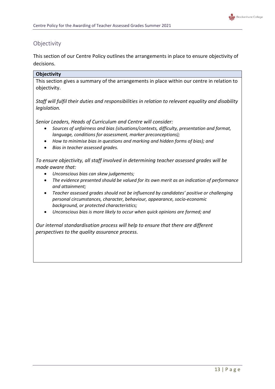## <span id="page-13-0"></span>**Objectivity**

This section of our Centre Policy outlines the arrangements in place to ensure objectivity of decisions.

#### **Objectivity**

This section gives a summary of the arrangements in place within our centre in relation to objectivity.

*Staff will fulfil their duties and responsibilities in relation to relevant equality and disability legislation.*

*Senior Leaders, Heads of Curriculum and Centre will consider:*

- *Sources of unfairness and bias (situations/contexts, difficulty, presentation and format, language, conditions for assessment, marker preconceptions);*
- *How to minimise bias in questions and marking and hidden forms of bias); and*
- *Bias in teacher assessed grades.*

*To ensure objectivity, all staff involved in determining teacher assessed grades will be made aware that:*

- *Unconscious bias can skew judgements;*
- *The evidence presented should be valued for its own merit as an indication of performance and attainment;*
- *Teacher assessed grades should not be influenced by candidates' positive or challenging personal circumstances, character, behaviour, appearance, socio-economic background, or protected characteristics;*
- *Unconscious bias is more likely to occur when quick opinions are formed; and*

*Our internal standardisation process will help to ensure that there are different perspectives to the quality assurance process.*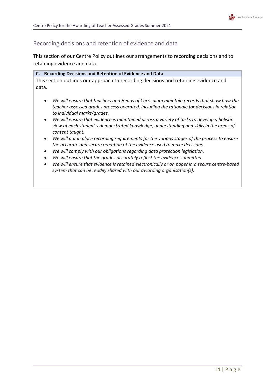

## <span id="page-14-0"></span>Recording decisions and retention of evidence and data

This section of our Centre Policy outlines our arrangements to recording decisions and to retaining evidence and data.

|       | C. Recording Decisions and Retention of Evidence and Data                            |
|-------|--------------------------------------------------------------------------------------|
|       | This section outlines our approach to recording decisions and retaining evidence and |
| data. |                                                                                      |
|       |                                                                                      |

- *We will ensure that teachers and Heads of Curriculum maintain records that show how the teacher assessed grades process operated, including the rationale for decisions in relation to individual marks/grades.*
- *We will ensure that evidence is maintained across a variety of tasks to develop a holistic view of each student's demonstrated knowledge, understanding and skills in the areas of content taught.*
- *We will put in place recording requirements for the various stages of the process to ensure the accurate and secure retention of the evidence used to make decisions.*
- *We will comply with our obligations regarding data protection legislation.*
- *We will ensure that the grades accurately reflect the evidence submitted.*
- *We will ensure that evidence is retained electronically or on paper in a secure centre-based system that can be readily shared with our awarding organisation(s).*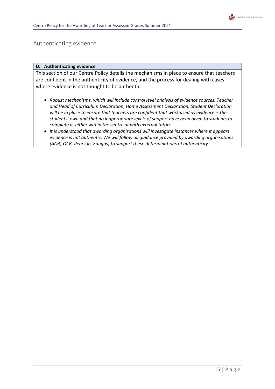

## <span id="page-15-0"></span>Authenticating evidence

#### **D. Authenticating evidence**

This section of our Centre Policy details the mechanisms in place to ensure that teachers are confident in the authenticity of evidence, and the process for dealing with cases where evidence is not thought to be authentic.

- *Robust mechanisms, which will include control level analysis of evidence sources, Teacher and Head of Curriculum Declaration, Home Assessment Declaration, Student Declaration will be in place to ensure that teachers are confident that work used as evidence is the students' own and that no inappropriate levels of support have been given to students to complete it, either within the centre or with external tutors.*
- *It is understood that awarding organisations will investigate instances where it appears evidence is not authentic. We will follow all guidance provided by awarding organisations (AQA, OCR, Pearson, Eduqas) to support these determinations of authenticity.*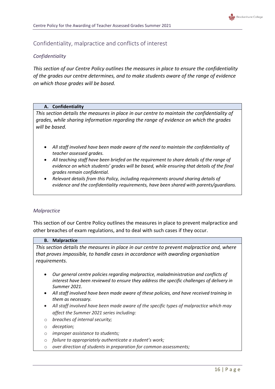## <span id="page-16-0"></span>Confidentiality, malpractice and conflicts of interest

### <span id="page-16-1"></span>*Confidentiality*

*This section of our Centre Policy outlines the measures in place to ensure the confidentiality of the grades our centre determines, and to make students aware of the range of evidence on which those grades will be based.*

#### **A. Confidentiality**

*This section details the measures in place in our centre to maintain the confidentiality of grades, while sharing information regarding the range of evidence on which the grades will be based.* 

- *All staff involved have been made aware of the need to maintain the confidentiality of teacher assessed grades.*
- *All teaching staff have been briefed on the requirement to share details of the range of evidence on which students' grades will be based, while ensuring that details of the final grades remain confidential.*
- *Relevant details from this Policy, including requirements around sharing details of evidence and the confidentiality requirements, have been shared with parents/guardians.*

#### <span id="page-16-2"></span>*Malpractice*

This section of our Centre Policy outlines the measures in place to prevent malpractice and other breaches of exam regulations, and to deal with such cases if they occur.

#### **B. Malpractice**

*This section details the measures in place in our centre to prevent malpractice and, where that proves impossible, to handle cases in accordance with awarding organisation requirements.*

- *Our general centre policies regarding malpractice, maladministration and conflicts of interest have been reviewed to ensure they address the specific challenges of delivery in Summer 2021.*
- *All staff involved have been made aware of these policies, and have received training in them as necessary.*
- *All staff involved have been made aware of the specific types of malpractice which may affect the Summer 2021 series including:*
- o *breaches of internal security;*
- o *deception;*
- o *improper assistance to students;*
- o *failure to appropriately authenticate a student's work;*
- o *over direction of students in preparation for common assessments;*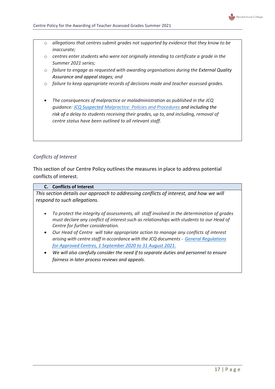

- o *allegations that centres submit grades not supported by evidence that they know to be inaccurate;*
- o *centres enter students who were not originally intending to certificate a grade in the Summer 2021 series;*
- o *failure to engage as requested with awarding organisations during the External Quality Assurance and appeal stages; and*
- o *failure to keep appropriate records of decisions made and teacher assessed grades.*
- *The consequences of malpractice or maladministration as published in the JCQ guidance: [JCQ Suspected](https://www.jcq.org.uk/exams-office/malpractice/jcq-suspected-malpractice-policies-and-procedures-2019-2020) Malpractice: Policies and Procedures and including the risk of a delay to students receiving their grades, up to, and including, removal of centre status have been outlined to all relevant staff.*

## <span id="page-17-0"></span>*Conflicts of Interest*

This section of our Centre Policy outlines the measures in place to address potential conflicts of interest.

#### **C. Conflicts of Interest**

*This section details our approach to addressing conflicts of interest, and how we will respond to such allegations.*

- *To protect the integrity of assessments, all staff involved in the determination of grades must declare any conflict of interest such as relationships with students to our Head of Centre for further consideration.*
- *Our Head of Centre will take appropriate action to manage any conflicts of interest arising with centre staff in accordance with the JCQ documents - [General Regulations](https://www.jcq.org.uk/wp-content/uploads/2020/09/Gen_regs_approved_centres_20-21_FINAL.pdf)  [for Approved Centres, 1 September 2020 to 31 August 2021.](https://www.jcq.org.uk/wp-content/uploads/2020/09/Gen_regs_approved_centres_20-21_FINAL.pdf)*
- *We will also carefully consider the need if to separate duties and personnel to ensure fairness in later process reviews and appeals.*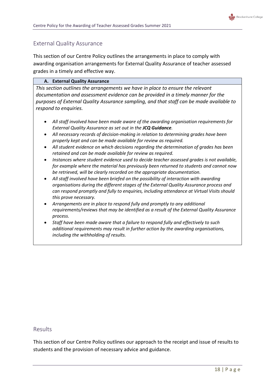

## <span id="page-18-0"></span>External Quality Assurance

This section of our Centre Policy outlines the arrangements in place to comply with awarding organisation arrangements for External Quality Assurance of teacher assessed grades in a timely and effective way.

#### **A. External Quality Assurance**

*This section outlines the arrangements we have in place to ensure the relevant documentation and assessment evidence can be provided in a timely manner for the purposes of External Quality Assurance sampling, and that staff can be made available to respond to enquiries.*

- *All staff involved have been made aware of the awarding organisation requirements for External Quality Assurance as set out in the JCQ Guidance.*
- *All necessary records of decision-making in relation to determining grades have been properly kept and can be made available for review as required.*
- *All student evidence on which decisions regarding the determination of grades has been retained and can be made available for review as required.*
- *Instances where student evidence used to decide teacher assessed grades is not available, for example where the material has previously been returned to students and cannot now be retrieved, will be clearly recorded on the appropriate documentation.*
- *All staff involved have been briefed on the possibility of interaction with awarding organisations during the different stages of the External Quality Assurance process and can respond promptly and fully to enquiries, including attendance at Virtual Visits should this prove necessary.*
- *Arrangements are in place to respond fully and promptly to any additional requirements/reviews that may be identified as a result of the External Quality Assurance process.*
- <span id="page-18-1"></span> *Staff have been made aware that a failure to respond fully and effectively to such additional requirements may result in further action by the awarding organisations, including the withholding of results.*

## Results

This section of our Centre Policy outlines our approach to the receipt and issue of results to students and the provision of necessary advice and guidance.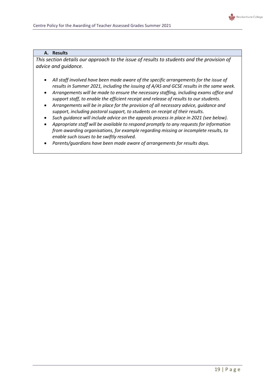

#### **A. Results**

*This section details our approach to the issue of results to students and the provision of advice and guidance.*

- *All staff involved have been made aware of the specific arrangements for the issue of results in Summer 2021, including the issuing of A/AS and GCSE results in the same week.*
- *Arrangements will be made to ensure the necessary staffing, including exams office and support staff, to enable the efficient receipt and release of results to our students.*
- *Arrangements will be in place for the provision of all necessary advice, guidance and support, including pastoral support, to students on receipt of their results.*
- *Such guidance will include advice on the appeals process in place in 2021 (see below).*
- *Appropriate staff will be available to respond promptly to any requests for information from awarding organisations, for example regarding missing or incomplete results, to enable such issues to be swiftly resolved.*
- *Parents/guardians have been made aware of arrangements for results days.*